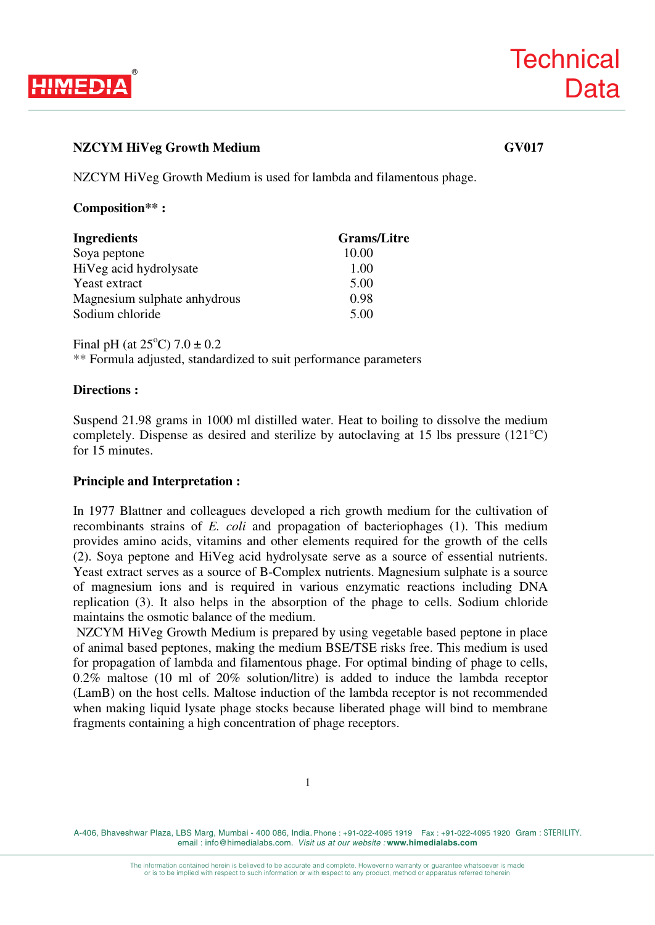

# **NZCYM HiVeg Growth Medium GV017**

NZCYM HiVeg Growth Medium is used for lambda and filamentous phage.

## **Composition\*\* :**

| <b>Ingredients</b>           | <b>Grams/Litre</b> |
|------------------------------|--------------------|
| Soya peptone                 | 10.00              |
| HiVeg acid hydrolysate       | 1.00               |
| Yeast extract                | 5.00               |
| Magnesium sulphate anhydrous | 0.98               |
| Sodium chloride              | 5.00               |

Final pH (at  $25^{\circ}$ C)  $7.0 \pm 0.2$ 

\*\* Formula adjusted, standardized to suit performance parameters

## **Directions :**

Suspend 21.98 grams in 1000 ml distilled water. Heat to boiling to dissolve the medium completely. Dispense as desired and sterilize by autoclaving at 15 lbs pressure (121°C) for 15 minutes.

## **Principle and Interpretation :**

In 1977 Blattner and colleagues developed a rich growth medium for the cultivation of recombinants strains of *E. coli* and propagation of bacteriophages (1). This medium provides amino acids, vitamins and other elements required for the growth of the cells (2). Soya peptone and HiVeg acid hydrolysate serve as a source of essential nutrients. Yeast extract serves as a source of B-Complex nutrients. Magnesium sulphate is a source of magnesium ions and is required in various enzymatic reactions including DNA replication (3). It also helps in the absorption of the phage to cells. Sodium chloride maintains the osmotic balance of the medium.

 NZCYM HiVeg Growth Medium is prepared by using vegetable based peptone in place of animal based peptones, making the medium BSE/TSE risks free. This medium is used for propagation of lambda and filamentous phage. For optimal binding of phage to cells, 0.2% maltose (10 ml of 20% solution/litre) is added to induce the lambda receptor (LamB) on the host cells. Maltose induction of the lambda receptor is not recommended when making liquid lysate phage stocks because liberated phage will bind to membrane fragments containing a high concentration of phage receptors.

A-406, Bhaveshwar Plaza, LBS Marg, Mumbai - 400 086, India. Phone : +91-022-4095 1919 Fax : +91-022-4095 1920 Gram : STERILITY. email : info@himedialabs.com. *Visit us at our website :* **www.himedialabs.com**